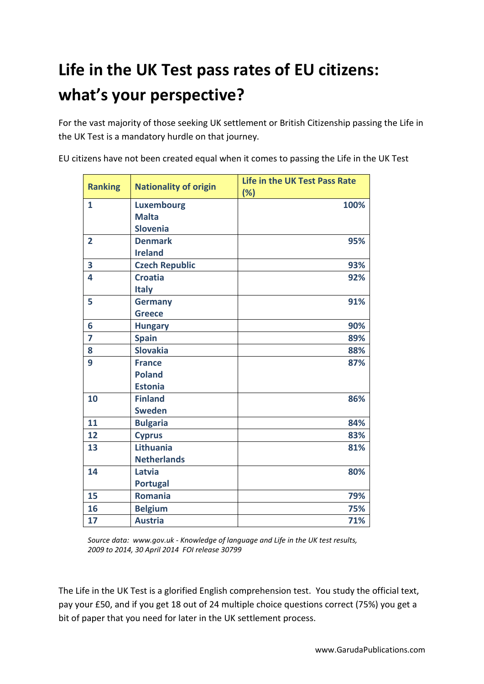## **Life in the UK Test pass rates of EU citizens: what's your perspective?**

For the vast majority of those seeking UK settlement or British Citizenship passing the Life in the UK Test is a mandatory hurdle on that journey.

EU citizens have not been created equal when it comes to passing the Life in the UK Test

| <b>Ranking</b> | <b>Nationality of origin</b> | <b>Life in the UK Test Pass Rate</b><br>(%) |
|----------------|------------------------------|---------------------------------------------|
| 1              | <b>Luxembourg</b>            | 100%                                        |
|                | <b>Malta</b>                 |                                             |
|                | <b>Slovenia</b>              |                                             |
| $\overline{2}$ | <b>Denmark</b>               | 95%                                         |
|                | <b>Ireland</b>               |                                             |
| 3              | <b>Czech Republic</b>        | 93%                                         |
| 4              | <b>Croatia</b>               | 92%                                         |
|                | <b>Italy</b>                 |                                             |
| 5              | <b>Germany</b>               | 91%                                         |
|                | <b>Greece</b>                |                                             |
| 6              | <b>Hungary</b>               | 90%                                         |
| 7              | <b>Spain</b>                 | 89%                                         |
| 8              | <b>Slovakia</b>              | 88%                                         |
| 9              | <b>France</b>                | 87%                                         |
|                | <b>Poland</b>                |                                             |
|                | <b>Estonia</b>               |                                             |
| 10             | <b>Finland</b>               | 86%                                         |
|                | <b>Sweden</b>                |                                             |
| 11             | <b>Bulgaria</b>              | 84%                                         |
| 12             | <b>Cyprus</b>                | 83%                                         |
| 13             | <b>Lithuania</b>             | 81%                                         |
|                | <b>Netherlands</b>           |                                             |
| 14             | Latvia                       | 80%                                         |
|                | <b>Portugal</b>              |                                             |
| 15             | <b>Romania</b>               | 79%                                         |
| 16             | <b>Belgium</b>               | 75%                                         |
| 17             | <b>Austria</b>               | 71%                                         |

*Source data: www.gov.uk - Knowledge of language and Life in the UK test results, 2009 to 2014, 30 April 2014 FOI release 30799*

The Life in the UK Test is a glorified English comprehension test. You study the official text, pay your £50, and if you get 18 out of 24 multiple choice questions correct (75%) you get a bit of paper that you need for later in the UK settlement process.